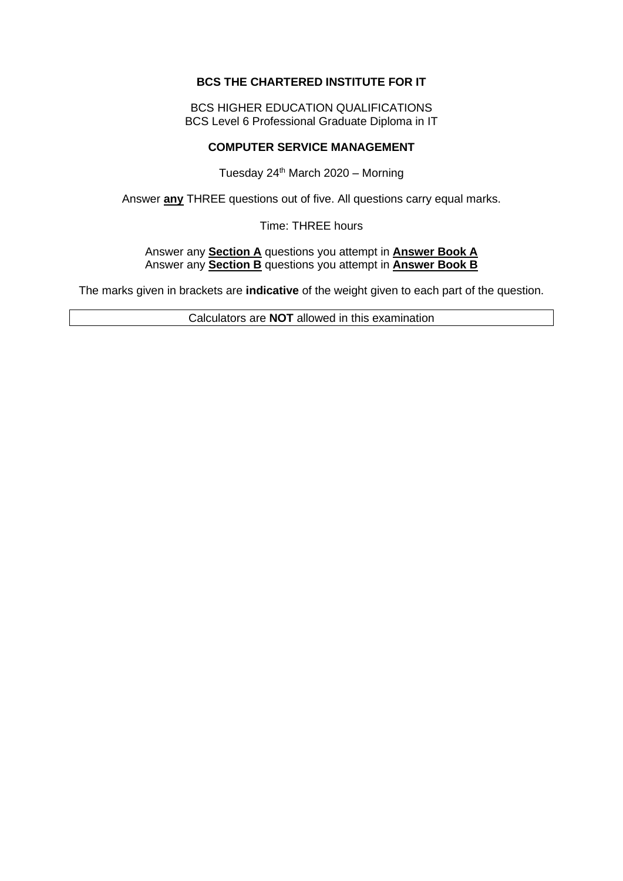### **BCS THE CHARTERED INSTITUTE FOR IT**

BCS HIGHER EDUCATION QUALIFICATIONS BCS Level 6 Professional Graduate Diploma in IT

## **COMPUTER SERVICE MANAGEMENT**

Tuesday  $24<sup>th</sup>$  March 2020 – Morning

Answer **any** THREE questions out of five. All questions carry equal marks.

Time: THREE hours

Answer any **Section A** questions you attempt in **Answer Book A** Answer any **Section B** questions you attempt in **Answer Book B**

The marks given in brackets are **indicative** of the weight given to each part of the question.

Calculators are **NOT** allowed in this examination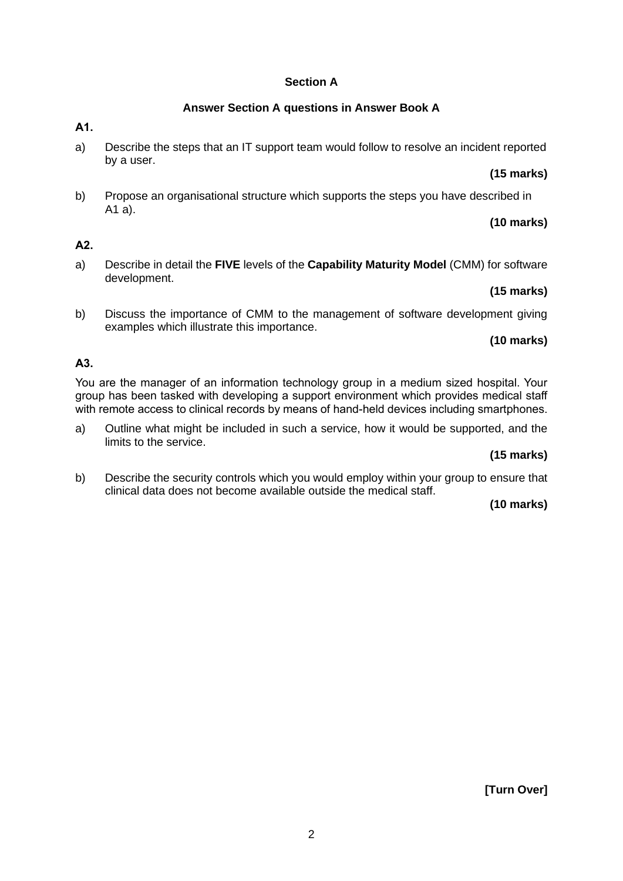### **Section A**

## **Answer Section A questions in Answer Book A**

**A1.**

a) Describe the steps that an IT support team would follow to resolve an incident reported by a user.

### **(15 marks)**

b) Propose an organisational structure which supports the steps you have described in A1 a).

# **(10 marks)**

# **A2.**

a) Describe in detail the **FIVE** levels of the **Capability Maturity Model** (CMM) for software development.

## **(15 marks)**

b) Discuss the importance of CMM to the management of software development giving examples which illustrate this importance.

# **(10 marks)**

# **A3.**

You are the manager of an information technology group in a medium sized hospital. Your group has been tasked with developing a support environment which provides medical staff with remote access to clinical records by means of hand-held devices including smartphones.

a) Outline what might be included in such a service, how it would be supported, and the limits to the service.

# **(15 marks)**

b) Describe the security controls which you would employ within your group to ensure that clinical data does not become available outside the medical staff.

## **(10 marks)**